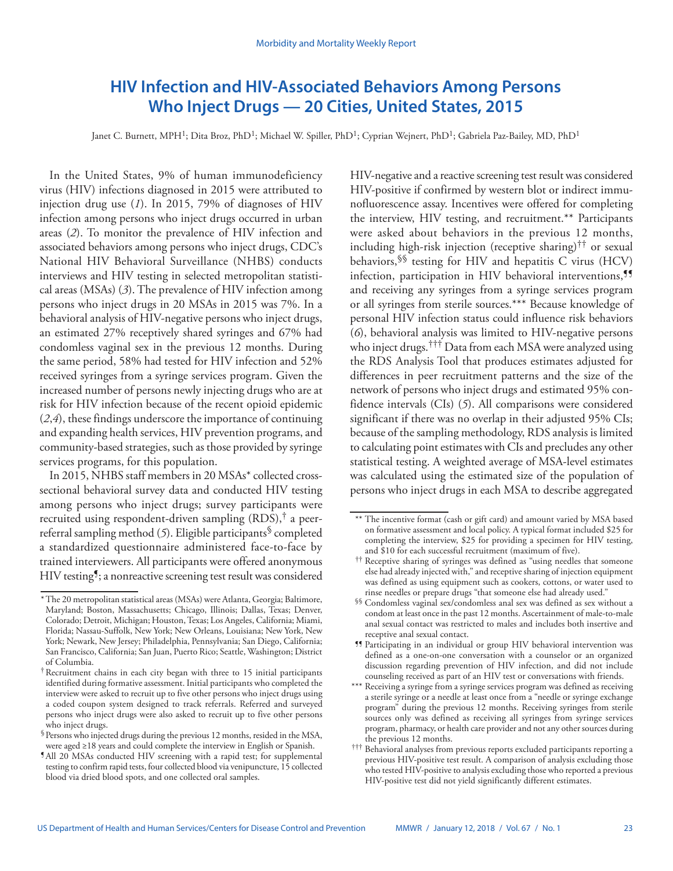# **HIV Infection and HIV-Associated Behaviors Among Persons Who Inject Drugs — 20 Cities, United States, 2015**

Janet C. Burnett, MPH<sup>1</sup>; Dita Broz, PhD<sup>1</sup>; Michael W. Spiller, PhD<sup>1</sup>; Cyprian Wejnert, PhD<sup>1</sup>; Gabriela Paz-Bailey, MD, PhD<sup>1</sup>

In the United States, 9% of human immunodeficiency virus (HIV) infections diagnosed in 2015 were attributed to injection drug use (*1*). In 2015, 79% of diagnoses of HIV infection among persons who inject drugs occurred in urban areas (*2*). To monitor the prevalence of HIV infection and associated behaviors among persons who inject drugs, CDC's National HIV Behavioral Surveillance (NHBS) conducts interviews and HIV testing in selected metropolitan statistical areas (MSAs) (*3*). The prevalence of HIV infection among persons who inject drugs in 20 MSAs in 2015 was 7%. In a behavioral analysis of HIV-negative persons who inject drugs, an estimated 27% receptively shared syringes and 67% had condomless vaginal sex in the previous 12 months. During the same period, 58% had tested for HIV infection and 52% received syringes from a syringe services program. Given the increased number of persons newly injecting drugs who are at risk for HIV infection because of the recent opioid epidemic (*2*,*4*), these findings underscore the importance of continuing and expanding health services, HIV prevention programs, and community-based strategies, such as those provided by syringe services programs, for this population.

In 2015, NHBS staff members in 20 MSAs\* collected crosssectional behavioral survey data and conducted HIV testing among persons who inject drugs; survey participants were recruited using respondent-driven sampling  $(RDS)$ ,<sup>†</sup> a peerreferral sampling method (*5*). Eligible participants§ completed a standardized questionnaire administered face-to-face by trained interviewers. All participants were offered anonymous HIV testing<sup>9</sup>; a nonreactive screening test result was considered HIV-negative and a reactive screening test result was considered HIV-positive if confirmed by western blot or indirect immunofluorescence assay. Incentives were offered for completing the interview, HIV testing, and recruitment.\*\* Participants were asked about behaviors in the previous 12 months, including high-risk injection (receptive sharing)<sup>††</sup> or sexual behaviors,  $\frac{1}{5}$  testing for HIV and hepatitis C virus (HCV) infection, participation in HIV behavioral interventions,<sup>99</sup> and receiving any syringes from a syringe services program or all syringes from sterile sources.\*\*\* Because knowledge of personal HIV infection status could influence risk behaviors (*6*), behavioral analysis was limited to HIV-negative persons who inject drugs.††† Data from each MSA were analyzed using the RDS Analysis Tool that produces estimates adjusted for differences in peer recruitment patterns and the size of the network of persons who inject drugs and estimated 95% confidence intervals (CIs) (*5*). All comparisons were considered significant if there was no overlap in their adjusted 95% CIs; because of the sampling methodology, RDS analysis is limited to calculating point estimates with CIs and precludes any other statistical testing. A weighted average of MSA-level estimates was calculated using the estimated size of the population of persons who inject drugs in each MSA to describe aggregated

<sup>\*</sup>The 20 metropolitan statistical areas (MSAs) were Atlanta, Georgia; Baltimore, Maryland; Boston, Massachusetts; Chicago, Illinois; Dallas, Texas; Denver, Colorado; Detroit, Michigan; Houston, Texas; Los Angeles, California; Miami, Florida; Nassau-Suffolk, New York; New Orleans, Louisiana; New York, New York; Newark, New Jersey; Philadelphia, Pennsylvania; San Diego, California; San Francisco, California; San Juan, Puerto Rico; Seattle, Washington; District of Columbia.

<sup>†</sup>Recruitment chains in each city began with three to 15 initial participants identified during formative assessment. Initial participants who completed the interview were asked to recruit up to five other persons who inject drugs using a coded coupon system designed to track referrals. Referred and surveyed persons who inject drugs were also asked to recruit up to five other persons who inject drugs.

<sup>§</sup>Persons who injected drugs during the previous 12 months, resided in the MSA, were aged ≥18 years and could complete the interview in English or Spanish.

<sup>¶</sup>All 20 MSAs conducted HIV screening with a rapid test; for supplemental testing to confirm rapid tests, four collected blood via venipuncture, 15 collected blood via dried blood spots, and one collected oral samples.

<sup>\*\*</sup> The incentive format (cash or gift card) and amount varied by MSA based on formative assessment and local policy. A typical format included \$25 for completing the interview, \$25 for providing a specimen for HIV testing, and \$10 for each successful recruitment (maximum of five).

<sup>††</sup> Receptive sharing of syringes was defined as "using needles that someone else had already injected with," and receptive sharing of injection equipment was defined as using equipment such as cookers, cottons, or water used to rinse needles or prepare drugs "that someone else had already used."

<sup>§§</sup> Condomless vaginal sex/condomless anal sex was defined as sex without a condom at least once in the past 12 months. Ascertainment of male-to-male anal sexual contact was restricted to males and includes both insertive and receptive anal sexual contact.

<sup>¶¶</sup> Participating in an individual or group HIV behavioral intervention was defined as a one-on-one conversation with a counselor or an organized discussion regarding prevention of HIV infection, and did not include counseling received as part of an HIV test or conversations with friends.

<sup>\*\*\*</sup> Receiving a syringe from a syringe services program was defined as receiving a sterile syringe or a needle at least once from a "needle or syringe exchange program" during the previous 12 months. Receiving syringes from sterile sources only was defined as receiving all syringes from syringe services program, pharmacy, or health care provider and not any other sources during the previous 12 months.

<sup>†††</sup> Behavioral analyses from previous reports excluded participants reporting a previous HIV-positive test result. A comparison of analysis excluding those who tested HIV-positive to analysis excluding those who reported a previous HIV-positive test did not yield significantly different estimates.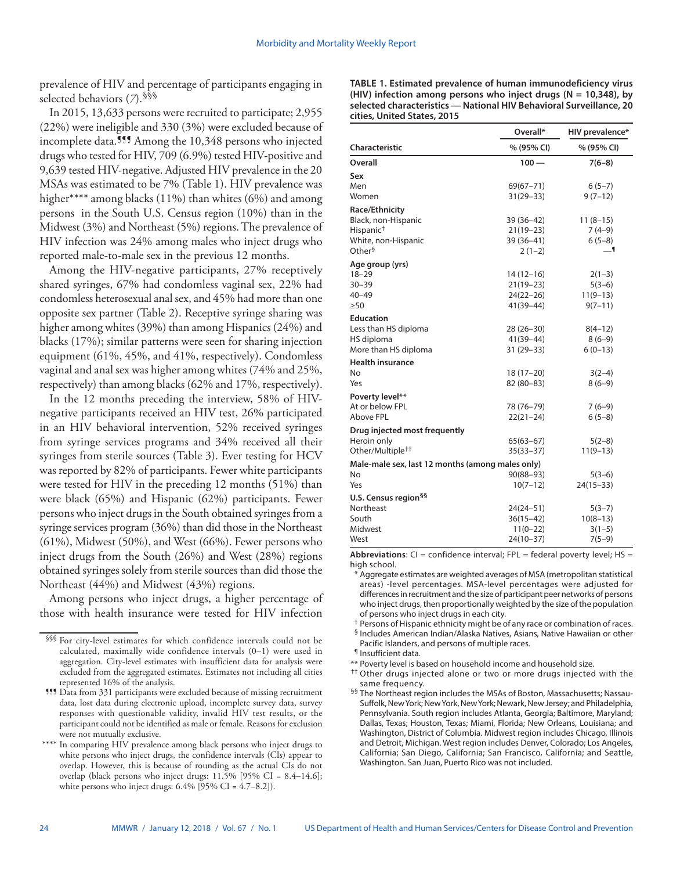prevalence of HIV and percentage of participants engaging in selected behaviors (*7*).§§§

In 2015, 13,633 persons were recruited to participate; 2,955 (22%) were ineligible and 330 (3%) were excluded because of incomplete data.<sup>111</sup> Among the 10,348 persons who injected drugs who tested for HIV, 709 (6.9%) tested HIV-positive and 9,639 tested HIV-negative. Adjusted HIV prevalence in the 20 MSAs was estimated to be 7% (Table 1). HIV prevalence was higher\*\*\*\* among blacks (11%) than whites (6%) and among persons in the South U.S. Census region (10%) than in the Midwest (3%) and Northeast (5%) regions. The prevalence of HIV infection was 24% among males who inject drugs who reported male-to-male sex in the previous 12 months.

Among the HIV-negative participants, 27% receptively shared syringes, 67% had condomless vaginal sex, 22% had condomless heterosexual anal sex, and 45% had more than one opposite sex partner (Table 2). Receptive syringe sharing was higher among whites (39%) than among Hispanics (24%) and blacks (17%); similar patterns were seen for sharing injection equipment (61%, 45%, and 41%, respectively). Condomless vaginal and anal sex was higher among whites (74% and 25%, respectively) than among blacks (62% and 17%, respectively).

In the 12 months preceding the interview, 58% of HIVnegative participants received an HIV test, 26% participated in an HIV behavioral intervention, 52% received syringes from syringe services programs and 34% received all their syringes from sterile sources (Table 3). Ever testing for HCV was reported by 82% of participants. Fewer white participants were tested for HIV in the preceding 12 months (51%) than were black (65%) and Hispanic (62%) participants. Fewer persons who inject drugs in the South obtained syringes from a syringe services program (36%) than did those in the Northeast (61%), Midwest (50%), and West (66%). Fewer persons who inject drugs from the South (26%) and West (28%) regions obtained syringes solely from sterile sources than did those the Northeast (44%) and Midwest (43%) regions.

Among persons who inject drugs, a higher percentage of those with health insurance were tested for HIV infection

| TABLE 1. Estimated prevalence of human immunodeficiency virus       |
|---------------------------------------------------------------------|
| (HIV) infection among persons who inject drugs ( $N = 10,348$ ), by |
| selected characteristics - National HIV Behavioral Surveillance, 20 |
| cities, United States, 2015                                         |

|                                                  | Overall*      | HIV prevalence* |
|--------------------------------------------------|---------------|-----------------|
| Characteristic                                   | % (95% CI)    | % (95% CI)      |
| Overall                                          | $100 -$       | $7(6-8)$        |
| Sex                                              |               |                 |
| Men                                              | $69(67 - 71)$ | $6(5-7)$        |
| Women                                            | $31(29 - 33)$ | $9(7-12)$       |
| Race/Ethnicity                                   |               |                 |
| Black, non-Hispanic                              | 39 (36-42)    | $11(8-15)$      |
| Hispanic <sup>†</sup>                            | $21(19-23)$   | $7(4-9)$        |
| White, non-Hispanic                              | 39 (36-41)    | $6(5-8)$        |
| Other <sup>§</sup>                               | $2(1-2)$      | ا __            |
| Age group (yrs)                                  |               |                 |
| $18 - 29$                                        | $14(12-16)$   | $2(1-3)$        |
| $30 - 39$                                        | $21(19-23)$   | $5(3-6)$        |
| $40 - 49$                                        | $24(22-26)$   | $11(9-13)$      |
| $\geq 50$                                        | 41(39-44)     | $9(7 - 11)$     |
| <b>Education</b>                                 |               |                 |
| Less than HS diploma                             | $28(26-30)$   | $8(4-12)$       |
| HS diploma                                       | $41(39 - 44)$ | $8(6-9)$        |
| More than HS diploma                             | $31(29 - 33)$ | $6(0-13)$       |
| <b>Health insurance</b>                          |               |                 |
| No                                               | $18(17-20)$   | $3(2-4)$        |
| Yes                                              | 82 (80-83)    | $8(6-9)$        |
| Poverty level**                                  |               |                 |
| At or below FPL                                  | 78 (76-79)    | $7(6-9)$        |
| Above FPL                                        | $22(21-24)$   | $6(5-8)$        |
| Drug injected most frequently                    |               |                 |
| Heroin only                                      | $65(63 - 67)$ | $5(2-8)$        |
| Other/Multiple <sup>††</sup>                     | $35(33 - 37)$ | $11(9-13)$      |
| Male-male sex, last 12 months (among males only) |               |                 |
| No                                               | $90(88 - 93)$ | $5(3-6)$        |
| Yes                                              | $10(7-12)$    | $24(15-33)$     |
| U.S. Census region <sup>§§</sup>                 |               |                 |
| Northeast                                        | $24(24 - 51)$ | $5(3-7)$        |
| South                                            | $36(15-42)$   | $10(8-13)$      |
| Midwest                                          | $11(0-22)$    | $3(1-5)$        |
| West                                             | $24(10-37)$   | $7(5-9)$        |

**Abbreviations**: CI = confidence interval; FPL = federal poverty level; HS = high school.

- \* Aggregate estimates are weighted averages of MSA (metropolitan statistical areas) -level percentages. MSA-level percentages were adjusted for differences in recruitment and the size of participant peer networks of persons who inject drugs, then proportionally weighted by the size of the population of persons who inject drugs in each city.
- † Persons of Hispanic ethnicity might be of any race or combination of races. § Includes American Indian/Alaska Natives, Asians, Native Hawaiian or other
- Pacific Islanders, and persons of multiple races.
- ¶ Insufficient data.
- \*\* Poverty level is based on household income and household size.
- †† Other drugs injected alone or two or more drugs injected with the same frequency.
- §§ The Northeast region includes the MSAs of Boston, Massachusetts; Nassau-Suffolk, New York; New York, New York; Newark, New Jersey; and Philadelphia, Pennsylvania. South region includes Atlanta, Georgia; Baltimore, Maryland; Dallas, Texas; Houston, Texas; Miami, Florida; New Orleans, Louisiana; and Washington, District of Columbia. Midwest region includes Chicago, Illinois and Detroit, Michigan. West region includes Denver, Colorado; Los Angeles, California; San Diego, California; San Francisco, California; and Seattle, Washington. San Juan, Puerto Rico was not included.

<sup>§§§</sup> For city-level estimates for which confidence intervals could not be calculated, maximally wide confidence intervals (0–1) were used in aggregation. City-level estimates with insufficient data for analysis were excluded from the aggregated estimates. Estimates not including all cities represented 16% of the analysis.

<sup>¶¶¶</sup> Data from 331 participants were excluded because of missing recruitment data, lost data during electronic upload, incomplete survey data, survey responses with questionable validity, invalid HIV test results, or the participant could not be identified as male or female. Reasons for exclusion were not mutually exclusive.

<sup>\*\*\*\*</sup> In comparing HIV prevalence among black persons who inject drugs to white persons who inject drugs, the confidence intervals (CIs) appear to overlap. However, this is because of rounding as the actual CIs do not overlap (black persons who inject drugs: 11.5% [95% CI = 8.4–14.6]; white persons who inject drugs:  $6.4\%$  [95% CI = 4.7–8.2]).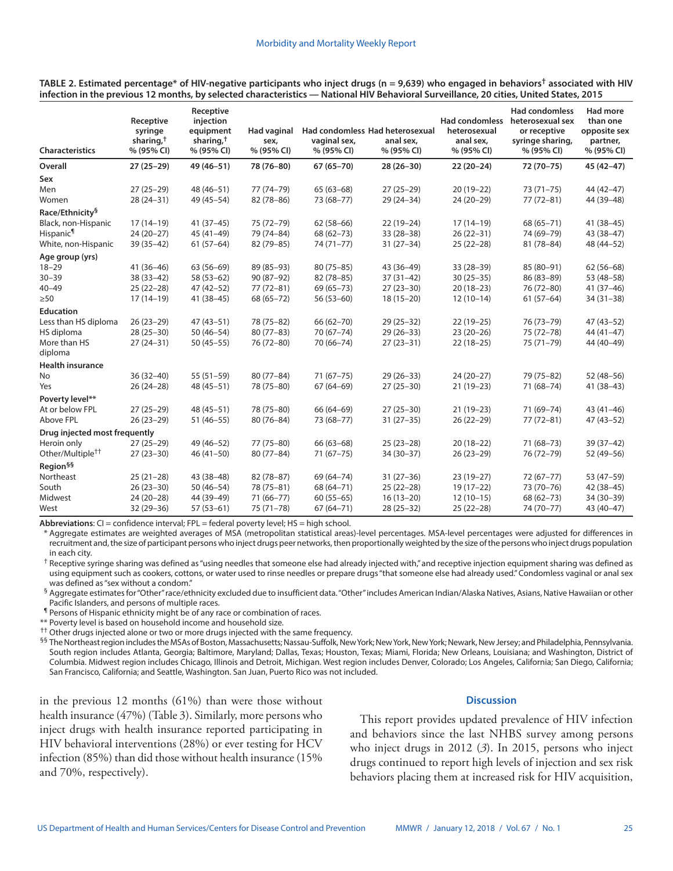| <b>Characteristics</b>        | Receptive<br>syringe<br>sharing, <sup>†</sup><br>% (95% CI) | Receptive<br>injection<br>equipment<br>sharing, <sup>†</sup><br>% (95% CI) | <b>Had vaginal</b><br>sex,<br>% (95% CI) | Had condomless Had heterosexual<br>vaginal sex,<br>% (95% CI) | anal sex,<br>% (95% CI) | <b>Had condomless</b><br>heterosexual<br>anal sex,<br>% (95% CI) | <b>Had condomless</b><br>heterosexual sex<br>or receptive<br>syringe sharing,<br>% (95% CI) | <b>Had more</b><br>than one<br>opposite sex<br>partner,<br>% (95% CI) |
|-------------------------------|-------------------------------------------------------------|----------------------------------------------------------------------------|------------------------------------------|---------------------------------------------------------------|-------------------------|------------------------------------------------------------------|---------------------------------------------------------------------------------------------|-----------------------------------------------------------------------|
| Overall                       | $27(25-29)$                                                 | 49 (46-51)                                                                 | 78 (76-80)                               | $67(65 - 70)$                                                 | $28(26-30)$             | $22(20-24)$                                                      | 72 (70-75)                                                                                  | $45(42 - 47)$                                                         |
| Sex                           |                                                             |                                                                            |                                          |                                                               |                         |                                                                  |                                                                                             |                                                                       |
| Men                           | $27(25-29)$                                                 | 48 (46-51)                                                                 | 77 (74-79)                               | $65(63-68)$                                                   | $27(25-29)$             | $20(19-22)$                                                      | $73(71 - 75)$                                                                               | 44 (42-47)                                                            |
| Women                         | $28(24-31)$                                                 | 49 (45-54)                                                                 | $82(78 - 86)$                            | 73 (68-77)                                                    | $29(24-34)$             | $24(20-29)$                                                      | $77(72 - 81)$                                                                               | 44 (39-48)                                                            |
| Race/Ethnicity§               |                                                             |                                                                            |                                          |                                                               |                         |                                                                  |                                                                                             |                                                                       |
| Black, non-Hispanic           | $17(14-19)$                                                 | $41(37-45)$                                                                | 75 (72-79)                               | $62(58-66)$                                                   | $22(19-24)$             | $17(14-19)$                                                      | 68 (65-71)                                                                                  | $41(38-45)$                                                           |
| Hispanic <sup>¶</sup>         | $24(20-27)$                                                 | $45(41-49)$                                                                | 79 (74-84)                               | 68 (62-73)                                                    | $33(28-38)$             | $26(22-31)$                                                      | 74 (69-79)                                                                                  | 43 (38-47)                                                            |
| White, non-Hispanic           | $39(35-42)$                                                 | $61(57-64)$                                                                | 82 (79-85)                               | $74(71 - 77)$                                                 | $31(27-34)$             | $25(22-28)$                                                      | $81(78-84)$                                                                                 | 48 (44-52)                                                            |
| Age group (yrs)               |                                                             |                                                                            |                                          |                                                               |                         |                                                                  |                                                                                             |                                                                       |
| $18 - 29$                     | $41(36-46)$                                                 | $63(56-69)$                                                                | 89 (85-93)                               | $80(75 - 85)$                                                 | $43(36-49)$             | $33(28-39)$                                                      | 85 (80-91)                                                                                  | $62(56-68)$                                                           |
| $30 - 39$                     | $38(33-42)$                                                 | $58(53-62)$                                                                | $90(87-92)$                              | $82(78-85)$                                                   | $37(31-42)$             | $30(25-35)$                                                      | 86 (83-89)                                                                                  | 53 (48-58)                                                            |
| 40–49                         | $25(22-28)$                                                 | $47(42 - 52)$                                                              | $77(72 - 81)$                            | $69(65 - 73)$                                                 | $27(23-30)$             | $20(18-23)$                                                      | 76 (72-80)                                                                                  | $41(37-46)$                                                           |
| $\geq 50$                     | $17(14-19)$                                                 | $41(38-45)$                                                                | 68 (65-72)                               | $56(53-60)$                                                   | $18(15-20)$             | $12(10-14)$                                                      | $61(57-64)$                                                                                 | $34(31-38)$                                                           |
| <b>Education</b>              |                                                             |                                                                            |                                          |                                                               |                         |                                                                  |                                                                                             |                                                                       |
| Less than HS diploma          | $26(23-29)$                                                 | $47(43 - 51)$                                                              | 78 (75-82)                               | $66(62 - 70)$                                                 | $29(25-32)$             | $22(19-25)$                                                      | 76 (73-79)                                                                                  | $47(43-52)$                                                           |
| HS diploma                    | $28(25-30)$                                                 | $50(46-54)$                                                                | $80(77 - 83)$                            | $70(67 - 74)$                                                 | $29(26-33)$             | $23(20-26)$                                                      | 75 (72-78)                                                                                  | $44(41-47)$                                                           |
| More than HS                  | $27(24-31)$                                                 | $50(45-55)$                                                                | 76 (72-80)                               | 70 (66-74)                                                    | $27(23-31)$             | $22(18-25)$                                                      | 75 (71-79)                                                                                  | 44 (40-49)                                                            |
| diploma                       |                                                             |                                                                            |                                          |                                                               |                         |                                                                  |                                                                                             |                                                                       |
| <b>Health insurance</b>       |                                                             |                                                                            |                                          |                                                               |                         |                                                                  |                                                                                             |                                                                       |
| No                            | $36(32-40)$                                                 | $55(51-59)$                                                                | $80(77-84)$                              | $71(67-75)$                                                   | $29(26-33)$             | $24(20-27)$                                                      | 79 (75-82)                                                                                  | $52(48-56)$                                                           |
| Yes                           | $26(24-28)$                                                 | 48 (45-51)                                                                 | 78 (75-80)                               | $67(64-69)$                                                   | $27(25-30)$             | $21(19-23)$                                                      | $71(68-74)$                                                                                 | $41(38-43)$                                                           |
| Poverty level**               |                                                             |                                                                            |                                          |                                                               |                         |                                                                  |                                                                                             |                                                                       |
| At or below FPL               | $27(25-29)$                                                 | $48(45 - 51)$                                                              | 78 (75-80)                               | 66 (64-69)                                                    | $27(25-30)$             | $21(19-23)$                                                      | 71 (69-74)                                                                                  | $43(41-46)$                                                           |
| <b>Above FPL</b>              | $26(23-29)$                                                 | $51(46-55)$                                                                | $80(76 - 84)$                            | 73 (68-77)                                                    | $31(27-35)$             | $26(22-29)$                                                      | $77(72 - 81)$                                                                               | $47(43 - 52)$                                                         |
| Drug injected most frequently |                                                             |                                                                            |                                          |                                                               |                         |                                                                  |                                                                                             |                                                                       |
| Heroin only                   | $27(25-29)$                                                 | $49(46 - 52)$                                                              | 77 (75-80)                               | $66(63-68)$                                                   | $25(23-28)$             | $20(18-22)$                                                      | $71(68 - 73)$                                                                               | 39 (37-42)                                                            |
| Other/Multiple <sup>††</sup>  | $27(23-30)$                                                 | $46(41-50)$                                                                | $80(77 - 84)$                            | $71(67-75)$                                                   | $34(30-37)$             | $26(23-29)$                                                      | 76 (72-79)                                                                                  | 52 (49-56)                                                            |
| Region <sup>§§</sup>          |                                                             |                                                                            |                                          |                                                               |                         |                                                                  |                                                                                             |                                                                       |
| Northeast                     | $25(21-28)$                                                 | 43 (38-48)                                                                 | $82(78-87)$                              | 69 (64-74)                                                    | $31(27-36)$             | $23(19-27)$                                                      | $72(67 - 77)$                                                                               | 53 (47-59)                                                            |
| South                         | $26(23-30)$                                                 | $50(46-54)$                                                                | 78 (75-81)                               | 68 (64-71)                                                    | $25(22-28)$             | $19(17-22)$                                                      | 73 (70-76)                                                                                  | $42(38-45)$                                                           |
| Midwest                       | $24(20-28)$                                                 | 44 (39-49)                                                                 | $71(66 - 77)$                            | $60(55-65)$                                                   | $16(13-20)$             | $12(10-15)$                                                      | 68 (62-73)                                                                                  | 34 (30-39)                                                            |
| West                          | $32(29 - 36)$                                               | $57(53-61)$                                                                | $75(71 - 78)$                            | $67(64 - 71)$                                                 | $28(25-32)$             | $25(22-28)$                                                      | 74 (70-77)                                                                                  | 43 (40-47)                                                            |

**TABLE 2. Estimated percentage\* of HIV-negative participants who inject drugs (n = 9,639) who engaged in behaviors† associated with HIV infection in the previous 12 months, by selected characteristics — National HIV Behavioral Surveillance, 20 cities, United States, 2015**

**Abbreviations**: CI = confidence interval; FPL = federal poverty level; HS = high school.

Aggregate estimates are weighted averages of MSA (metropolitan statistical areas)-level percentages. MSA-level percentages were adjusted for differences in recruitment and, the size of participant persons who inject drugs peer networks, then proportionally weighted by the size of the persons who inject drugs population in each city.

<sup>†</sup> Receptive syringe sharing was defined as "using needles that someone else had already injected with," and receptive injection equipment sharing was defined as using equipment such as cookers, cottons, or water used to rinse needles or prepare drugs "that someone else had already used." Condomless vaginal or anal sex was defined as "sex without a condom."

§ Aggregate estimates for "Other" race/ethnicity excluded due to insufficient data. "Other" includes American Indian/Alaska Natives, Asians, Native Hawaiian or other Pacific Islanders, and persons of multiple races.

¶ Persons of Hispanic ethnicity might be of any race or combination of races.

\*\* Poverty level is based on household income and household size.

<sup>††</sup> Other drugs injected alone or two or more drugs injected with the same frequency.

 $^{§§}$  The Northeast region includes the MSAs of Boston, Massachusetts; Nassau-Suffolk, New York; New York, New York; Newark, New Jersey; and Philadelphia, Pennsylvania. South region includes Atlanta, Georgia; Baltimore, Maryland; Dallas, Texas; Houston, Texas; Miami, Florida; New Orleans, Louisiana; and Washington, District of Columbia. Midwest region includes Chicago, Illinois and Detroit, Michigan. West region includes Denver, Colorado; Los Angeles, California; San Diego, California; San Francisco, California; and Seattle, Washington. San Juan, Puerto Rico was not included.

in the previous 12 months (61%) than were those without health insurance (47%) (Table 3). Similarly, more persons who inject drugs with health insurance reported participating in HIV behavioral interventions (28%) or ever testing for HCV infection (85%) than did those without health insurance (15% and 70%, respectively).

## **Discussion**

This report provides updated prevalence of HIV infection and behaviors since the last NHBS survey among persons who inject drugs in 2012 (*3*). In 2015, persons who inject drugs continued to report high levels of injection and sex risk behaviors placing them at increased risk for HIV acquisition,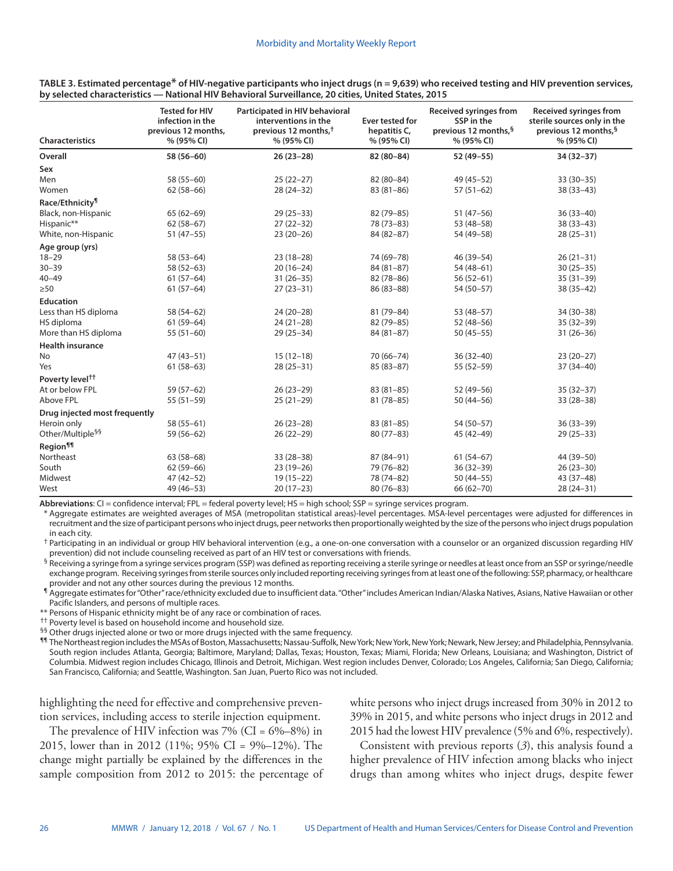| <b>Characteristics</b>        | <b>Tested for HIV</b><br>infection in the<br>previous 12 months,<br>% (95% CI) | Participated in HIV behavioral<br>interventions in the<br>previous 12 months, <sup>†</sup><br>% (95% CI) | Ever tested for<br>hepatitis C,<br>% (95% CI) | <b>Received syringes from</b><br>SSP in the<br>previous 12 months, <sup>§</sup><br>% (95% CI) | <b>Received syringes from</b><br>sterile sources only in the<br>previous 12 months, <sup>§</sup><br>% (95% CI) |  |
|-------------------------------|--------------------------------------------------------------------------------|----------------------------------------------------------------------------------------------------------|-----------------------------------------------|-----------------------------------------------------------------------------------------------|----------------------------------------------------------------------------------------------------------------|--|
| Overall                       | 58 (56-60)                                                                     |                                                                                                          | $82(80 - 84)$                                 | 52 (49-55)                                                                                    | 34 (32-37)                                                                                                     |  |
| Sex                           |                                                                                |                                                                                                          |                                               |                                                                                               |                                                                                                                |  |
| Men                           | 58 (55-60)                                                                     | $25(22-27)$                                                                                              | 82 (80-84)                                    | 49 (45-52)                                                                                    | $33(30-35)$                                                                                                    |  |
| Women                         | $62(58-66)$                                                                    | $28(24-32)$                                                                                              | $83(81-86)$                                   | $57(51-62)$                                                                                   | $38(33 - 43)$                                                                                                  |  |
| Race/Ethnicity <sup>1</sup>   |                                                                                |                                                                                                          |                                               |                                                                                               |                                                                                                                |  |
| Black, non-Hispanic           | $65(62-69)$                                                                    | $29(25-33)$                                                                                              | 82 (79-85)                                    | $51(47-56)$                                                                                   | $36(33-40)$                                                                                                    |  |
| Hispanic**                    | $62(58-67)$                                                                    | $27(22-32)$                                                                                              | 78 (73-83)                                    | 53 (48-58)                                                                                    | $38(33-43)$                                                                                                    |  |
| White, non-Hispanic           | $51(47-55)$                                                                    | $23(20-26)$                                                                                              | 84 (82-87)                                    | 54 (49-58)                                                                                    | $28(25-31)$                                                                                                    |  |
| Age group (yrs)               |                                                                                |                                                                                                          |                                               |                                                                                               |                                                                                                                |  |
| $18 - 29$                     | 58 (53-64)                                                                     | $23(18-28)$                                                                                              | 74 (69-78)                                    | 46 (39-54)                                                                                    | $26(21-31)$                                                                                                    |  |
| $30 - 39$                     | $58(52-63)$                                                                    | $20(16-24)$                                                                                              | $84(81-87)$                                   | 54 (48-61)                                                                                    | $30(25-35)$                                                                                                    |  |
| $40 - 49$                     | $61(57-64)$                                                                    | $31(26-35)$                                                                                              | $82(78-86)$                                   | $56(52-61)$                                                                                   | $35(31-39)$                                                                                                    |  |
| $\geq 50$                     | $61(57-64)$                                                                    | $27(23-31)$                                                                                              | 86 (83-88)                                    | 54 (50-57)                                                                                    | $38(35-42)$                                                                                                    |  |
| <b>Education</b>              |                                                                                |                                                                                                          |                                               |                                                                                               |                                                                                                                |  |
| Less than HS diploma          | 58 (54-62)                                                                     | $24(20-28)$                                                                                              | 81 (79-84)                                    | 53 (48-57)                                                                                    | 34 (30-38)                                                                                                     |  |
| HS diploma                    | $61(59-64)$                                                                    | $24(21-28)$                                                                                              | 82 (79-85)                                    | $52(48-56)$                                                                                   | $35(32-39)$                                                                                                    |  |
| More than HS diploma          | $55(51-60)$                                                                    | $29(25-34)$                                                                                              | $84(81-87)$                                   | $50(45-55)$                                                                                   | $31(26-36)$                                                                                                    |  |
| <b>Health insurance</b>       |                                                                                |                                                                                                          |                                               |                                                                                               |                                                                                                                |  |
| No                            | $47(43 - 51)$                                                                  | $15(12-18)$                                                                                              | 70 (66-74)                                    | $36(32-40)$                                                                                   | $23(20-27)$                                                                                                    |  |
| Yes                           | $61(58-63)$                                                                    | $28(25-31)$                                                                                              | $85(83 - 87)$                                 | 55 (52-59)                                                                                    | $37(34-40)$                                                                                                    |  |
| Poverty level <sup>††</sup>   |                                                                                |                                                                                                          |                                               |                                                                                               |                                                                                                                |  |
| At or below FPL               | 59 (57-62)                                                                     | $26(23-29)$                                                                                              | $83(81-85)$                                   | 52 (49-56)                                                                                    | $35(32-37)$                                                                                                    |  |
| Above FPL                     | $55(51-59)$                                                                    | $25(21-29)$                                                                                              | $81(78-85)$                                   | $50(44 - 56)$                                                                                 | $33(28-38)$                                                                                                    |  |
| Drug injected most frequently |                                                                                |                                                                                                          |                                               |                                                                                               |                                                                                                                |  |
| Heroin only                   | $58(55-61)$                                                                    | $26(23-28)$                                                                                              | $83(81-85)$                                   | 54 (50-57)                                                                                    | $36(33-39)$                                                                                                    |  |
| Other/Multiple <sup>§§</sup>  | 59 (56-62)                                                                     | $26(22-29)$                                                                                              | $80(77-83)$                                   | 45 (42-49)                                                                                    | $29(25-33)$                                                                                                    |  |
| Region <sup>11</sup>          |                                                                                |                                                                                                          |                                               |                                                                                               |                                                                                                                |  |
| Northeast                     | $63(58-68)$                                                                    | $33(28-38)$                                                                                              | 87 (84-91)                                    | $61(54-67)$                                                                                   | 44 (39-50)                                                                                                     |  |
| South                         | $62(59-66)$                                                                    | $23(19-26)$                                                                                              | 79 (76-82)                                    | $36(32-39)$                                                                                   | $26(23-30)$                                                                                                    |  |
| Midwest                       | 47 (42-52)                                                                     | $19(15-22)$                                                                                              | 78 (74-82)                                    | $50(44 - 55)$                                                                                 | 43 (37-48)                                                                                                     |  |
| West                          | 49 (46-53)                                                                     | $20(17-23)$                                                                                              | $80(76 - 83)$                                 | 66 (62-70)                                                                                    | $28(24-31)$                                                                                                    |  |

**TABLE 3. Estimated percentage\* of HIV-negative participants who inject drugs (n = 9,639) who received testing and HIV prevention services, by selected characteristics — National HIV Behavioral Surveillance, 20 cities, United States, 2015**

**Abbreviations**: CI = confidence interval; FPL = federal poverty level; HS = high school; SSP = syringe services program.

Aggregate estimates are weighted averages of MSA (metropolitan statistical areas)-level percentages. MSA-level percentages were adjusted for differences in recruitment and the size of participant persons who inject drugs, peer networks then proportionally weighted by the size of the persons who inject drugs population in each city.

† Participating in an individual or group HIV behavioral intervention (e.g., a one-on-one conversation with a counselor or an organized discussion regarding HIV prevention) did not include counseling received as part of an HIV test or conversations with friends.

§ Receiving a syringe from a syringe services program (SSP) was defined as reporting receiving a sterile syringe or needles at least once from an SSP or syringe/needle exchange program. Receiving syringes from sterile sources only included reporting receiving syringes from at least one of the following: SSP, pharmacy, or healthcare provider and not any other sources during the previous 12 months.

¶ Aggregate estimates for "Other" race/ethnicity excluded due to insufficient data. "Other" includes American Indian/Alaska Natives, Asians, Native Hawaiian or other Pacific Islanders, and persons of multiple races.

\*\* Persons of Hispanic ethnicity might be of any race or combination of races.

<sup>††</sup> Poverty level is based on household income and household size.

<sup>§§</sup> Other drugs injected alone or two or more drugs injected with the same frequency.

¶¶ The Northeast region includes the MSAs of Boston, Massachusetts; Nassau-Suffolk, New York; New York, New York; Newark, New Jersey; and Philadelphia, Pennsylvania. South region includes Atlanta, Georgia; Baltimore, Maryland; Dallas, Texas; Houston, Texas; Miami, Florida; New Orleans, Louisiana; and Washington, District of Columbia. Midwest region includes Chicago, Illinois and Detroit, Michigan. West region includes Denver, Colorado; Los Angeles, California; San Diego, California; San Francisco, California; and Seattle, Washington. San Juan, Puerto Rico was not included.

highlighting the need for effective and comprehensive prevention services, including access to sterile injection equipment.

The prevalence of HIV infection was  $7\%$  (CI =  $6\% - 8\%$ ) in 2015, lower than in 2012 (11%; 95% CI = 9%–12%). The change might partially be explained by the differences in the sample composition from 2012 to 2015: the percentage of white persons who inject drugs increased from 30% in 2012 to 39% in 2015, and white persons who inject drugs in 2012 and 2015 had the lowest HIV prevalence (5% and 6%, respectively).

Consistent with previous reports (*3*), this analysis found a higher prevalence of HIV infection among blacks who inject drugs than among whites who inject drugs, despite fewer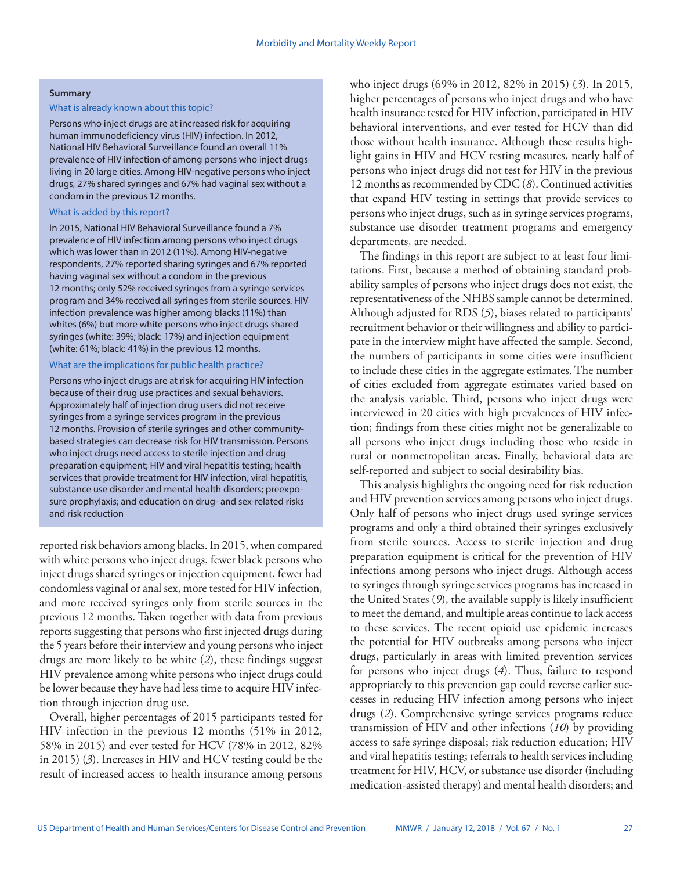## **Summary**

### What is already known about this topic?

Persons who inject drugs are at increased risk for acquiring human immunodeficiency virus (HIV) infection. In 2012, National HIV Behavioral Surveillance found an overall 11% prevalence of HIV infection of among persons who inject drugs living in 20 large cities. Among HIV-negative persons who inject drugs, 27% shared syringes and 67% had vaginal sex without a condom in the previous 12 months.

## What is added by this report?

In 2015, National HIV Behavioral Surveillance found a 7% prevalence of HIV infection among persons who inject drugs which was lower than in 2012 (11%). Among HIV-negative respondents, 27% reported sharing syringes and 67% reported having vaginal sex without a condom in the previous 12 months; only 52% received syringes from a syringe services program and 34% received all syringes from sterile sources. HIV infection prevalence was higher among blacks (11%) than whites (6%) but more white persons who inject drugs shared syringes (white: 39%; black: 17%) and injection equipment (white: 61%; black: 41%) in the previous 12 months**.**

## What are the implications for public health practice?

Persons who inject drugs are at risk for acquiring HIV infection because of their drug use practices and sexual behaviors. Approximately half of injection drug users did not receive syringes from a syringe services program in the previous 12 months. Provision of sterile syringes and other communitybased strategies can decrease risk for HIV transmission. Persons who inject drugs need access to sterile injection and drug preparation equipment; HIV and viral hepatitis testing; health services that provide treatment for HIV infection, viral hepatitis, substance use disorder and mental health disorders; preexposure prophylaxis; and education on drug- and sex-related risks and risk reduction

reported risk behaviors among blacks. In 2015, when compared with white persons who inject drugs, fewer black persons who inject drugs shared syringes or injection equipment, fewer had condomless vaginal or anal sex, more tested for HIV infection, and more received syringes only from sterile sources in the previous 12 months. Taken together with data from previous reports suggesting that persons who first injected drugs during the 5 years before their interview and young persons who inject drugs are more likely to be white (*2*), these findings suggest HIV prevalence among white persons who inject drugs could be lower because they have had less time to acquire HIV infection through injection drug use.

Overall, higher percentages of 2015 participants tested for HIV infection in the previous 12 months (51% in 2012, 58% in 2015) and ever tested for HCV (78% in 2012, 82% in 2015) (*3*). Increases in HIV and HCV testing could be the result of increased access to health insurance among persons

who inject drugs (69% in 2012, 82% in 2015) (*3*). In 2015, higher percentages of persons who inject drugs and who have health insurance tested for HIV infection, participated in HIV behavioral interventions, and ever tested for HCV than did those without health insurance. Although these results highlight gains in HIV and HCV testing measures, nearly half of persons who inject drugs did not test for HIV in the previous 12 months as recommended by CDC (*8*). Continued activities that expand HIV testing in settings that provide services to persons who inject drugs, such as in syringe services programs, substance use disorder treatment programs and emergency departments, are needed.

The findings in this report are subject to at least four limitations. First, because a method of obtaining standard probability samples of persons who inject drugs does not exist, the representativeness of the NHBS sample cannot be determined. Although adjusted for RDS (*5*), biases related to participants' recruitment behavior or their willingness and ability to participate in the interview might have affected the sample. Second, the numbers of participants in some cities were insufficient to include these cities in the aggregate estimates. The number of cities excluded from aggregate estimates varied based on the analysis variable. Third, persons who inject drugs were interviewed in 20 cities with high prevalences of HIV infection; findings from these cities might not be generalizable to all persons who inject drugs including those who reside in rural or nonmetropolitan areas. Finally, behavioral data are self-reported and subject to social desirability bias.

This analysis highlights the ongoing need for risk reduction and HIV prevention services among persons who inject drugs. Only half of persons who inject drugs used syringe services programs and only a third obtained their syringes exclusively from sterile sources. Access to sterile injection and drug preparation equipment is critical for the prevention of HIV infections among persons who inject drugs. Although access to syringes through syringe services programs has increased in the United States (*9*), the available supply is likely insufficient to meet the demand, and multiple areas continue to lack access to these services. The recent opioid use epidemic increases the potential for HIV outbreaks among persons who inject drugs, particularly in areas with limited prevention services for persons who inject drugs (*4*). Thus, failure to respond appropriately to this prevention gap could reverse earlier successes in reducing HIV infection among persons who inject drugs (*2*). Comprehensive syringe services programs reduce transmission of HIV and other infections (*10*) by providing access to safe syringe disposal; risk reduction education; HIV and viral hepatitis testing; referrals to health services including treatment for HIV, HCV, or substance use disorder (including medication-assisted therapy) and mental health disorders; and